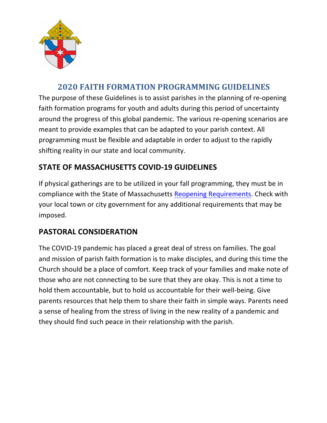

# **2020 FAITH FORMATION PROGRAMMING GUIDELINES**

The purpose of these Guidelines is to assist parishes in the planning of re-opening faith formation programs for youth and adults during this period of uncertainty around the progress of this global pandemic. The various re-opening scenarios are meant to provide examples that can be adapted to your parish context. All programming must be flexible and adaptable in order to adjust to the rapidly shifting reality in our state and local community.

# **STATE OF MASSACHUSETTS COVID-19 GUIDELINES**

If physical gatherings are to be utilized in your fall programming, they must be in compliance with the State of Massachusetts Reopening Requirements. Check with your local town or city government for any additional requirements that may be imposed. 

# **PASTORAL CONSIDERATION**

The COVID-19 pandemic has placed a great deal of stress on families. The goal and mission of parish faith formation is to make disciples, and during this time the Church should be a place of comfort. Keep track of your families and make note of those who are not connecting to be sure that they are okay. This is not a time to hold them accountable, but to hold us accountable for their well-being. Give parents resources that help them to share their faith in simple ways. Parents need a sense of healing from the stress of living in the new reality of a pandemic and they should find such peace in their relationship with the parish.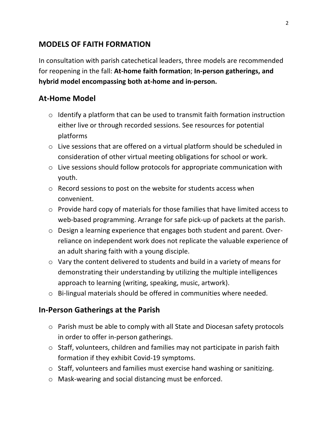### **MODELS OF FAITH FORMATION**

In consultation with parish catechetical leaders, three models are recommended for reopening in the fall: At-home faith formation; In-person gatherings, and hybrid model encompassing both at-home and in-person.

#### **At-Home Model**

- $\circ$  Identify a platform that can be used to transmit faith formation instruction either live or through recorded sessions. See resources for potential platforms
- $\circ$  Live sessions that are offered on a virtual platform should be scheduled in consideration of other virtual meeting obligations for school or work.
- $\circ$  Live sessions should follow protocols for appropriate communication with youth.
- $\circ$  Record sessions to post on the website for students access when convenient.
- $\circ$  Provide hard copy of materials for those families that have limited access to web-based programming. Arrange for safe pick-up of packets at the parish.
- $\circ$  Design a learning experience that engages both student and parent. Overreliance on independent work does not replicate the valuable experience of an adult sharing faith with a young disciple.
- $\circ$  Vary the content delivered to students and build in a variety of means for demonstrating their understanding by utilizing the multiple intelligences approach to learning (writing, speaking, music, artwork).
- $\circ$  Bi-lingual materials should be offered in communities where needed.

### **In-Person Gatherings at the Parish**

- $\circ$  Parish must be able to comply with all State and Diocesan safety protocols in order to offer in-person gatherings.
- $\circ$  Staff, volunteers, children and families may not participate in parish faith formation if they exhibit Covid-19 symptoms.
- $\circ$  Staff, volunteers and families must exercise hand washing or sanitizing.
- $\circ$  Mask-wearing and social distancing must be enforced.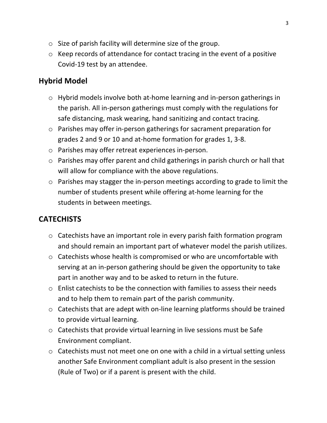- $\circ$  Size of parish facility will determine size of the group.
- $\circ$  Keep records of attendance for contact tracing in the event of a positive Covid-19 test by an attendee.

### **Hybrid Model**

- $\circ$  Hybrid models involve both at-home learning and in-person gatherings in the parish. All in-person gatherings must comply with the regulations for safe distancing, mask wearing, hand sanitizing and contact tracing.
- $\circ$  Parishes may offer in-person gatherings for sacrament preparation for grades 2 and 9 or 10 and at-home formation for grades 1, 3-8.
- $\circ$  Parishes may offer retreat experiences in-person.
- $\circ$  Parishes may offer parent and child gatherings in parish church or hall that will allow for compliance with the above regulations.
- $\circ$  Parishes may stagger the in-person meetings according to grade to limit the number of students present while offering at-home learning for the students in between meetings.

# **CATECHISTS**

- $\circ$  Catechists have an important role in every parish faith formation program and should remain an important part of whatever model the parish utilizes.
- $\circ$  Catechists whose health is compromised or who are uncomfortable with serving at an in-person gathering should be given the opportunity to take part in another way and to be asked to return in the future.
- $\circ$  Enlist catechists to be the connection with families to assess their needs and to help them to remain part of the parish community.
- $\circ$  Catechists that are adept with on-line learning platforms should be trained to provide virtual learning.
- $\circ$  Catechists that provide virtual learning in live sessions must be Safe Environment compliant.
- $\circ$  Catechists must not meet one on one with a child in a virtual setting unless another Safe Environment compliant adult is also present in the session (Rule of Two) or if a parent is present with the child.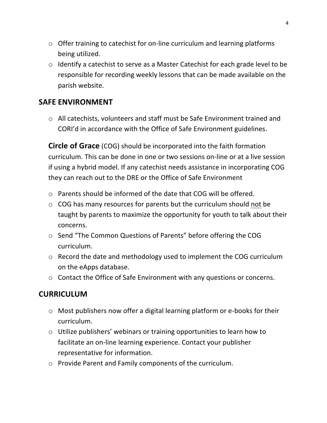- $\circ$  Offer training to catechist for on-line curriculum and learning platforms being utilized.
- $\circ$  Identify a catechist to serve as a Master Catechist for each grade level to be responsible for recording weekly lessons that can be made available on the parish website.

#### **SAFE ENVIRONMENT**

o All catechists, volunteers and staff must be Safe Environment trained and CORI'd in accordance with the Office of Safe Environment guidelines.

**Circle of Grace** (COG) should be incorporated into the faith formation curriculum. This can be done in one or two sessions on-line or at a live session if using a hybrid model. If any catechist needs assistance in incorporating COG they can reach out to the DRE or the Office of Safe Environment

- $\circ$  Parents should be informed of the date that COG will be offered.
- $\circ$  COG has many resources for parents but the curriculum should not be taught by parents to maximize the opportunity for youth to talk about their concerns.
- o Send "The Common Questions of Parents" before offering the COG curriculum.
- $\circ$  Record the date and methodology used to implement the COG curriculum on the eApps database.
- $\circ$  Contact the Office of Safe Environment with any questions or concerns.

## **CURRICULUM**

- $\circ$  Most publishers now offer a digital learning platform or e-books for their curriculum.
- $\circ$  Utilize publishers' webinars or training opportunities to learn how to facilitate an on-line learning experience. Contact your publisher representative for information.
- o Provide Parent and Family components of the curriculum.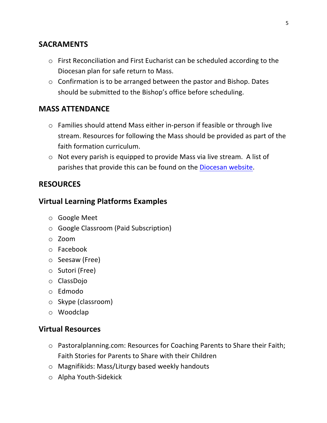### **SACRAMENTS**

- $\circ$  First Reconciliation and First Eucharist can be scheduled according to the Diocesan plan for safe return to Mass.
- $\circ$  Confirmation is to be arranged between the pastor and Bishop. Dates should be submitted to the Bishop's office before scheduling.

### **MASS ATTENDANCE**

- $\circ$  Families should attend Mass either in-person if feasible or through live stream. Resources for following the Mass should be provided as part of the faith formation curriculum.
- $\circ$  Not every parish is equipped to provide Mass via live stream. A list of parishes that provide this can be found on the Diocesan website.

### **RESOURCES**

#### **Virtual Learning Platforms Examples**

- o Google Meet
- $\circ$  Google Classroom (Paid Subscription)
- o Zoom
- o Facebook
- o Seesaw (Free)
- $\circ$  Sutori (Free)
- o ClassDojo
- o Edmodo
- $\circ$  Skype (classroom)
- o Woodclap

#### **Virtual Resources**

- o Pastoralplanning.com: Resources for Coaching Parents to Share their Faith; Faith Stories for Parents to Share with their Children
- $\circ$  Magnifikids: Mass/Liturgy based weekly handouts
- o Alpha Youth-Sidekick